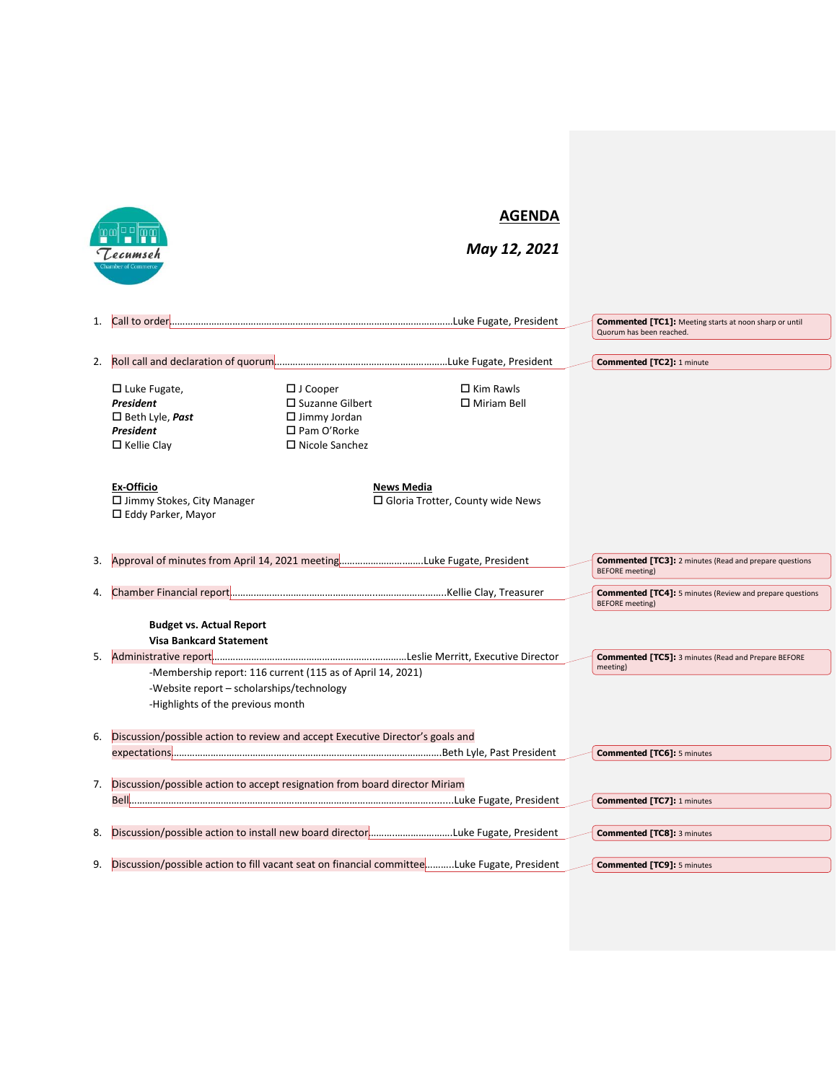|    |                                                                                             | <b>AGENDA</b>                                              |                                         |  |                                                                                           |
|----|---------------------------------------------------------------------------------------------|------------------------------------------------------------|-----------------------------------------|--|-------------------------------------------------------------------------------------------|
|    | Lecumseh                                                                                    |                                                            | May 12, 2021                            |  |                                                                                           |
|    |                                                                                             |                                                            |                                         |  |                                                                                           |
|    |                                                                                             |                                                            |                                         |  |                                                                                           |
|    |                                                                                             |                                                            |                                         |  | <b>Commented [TC1]:</b> Meeting starts at noon sharp or until                             |
|    |                                                                                             |                                                            |                                         |  | Quorum has been reached.                                                                  |
| 2. |                                                                                             |                                                            |                                         |  | <b>Commented [TC2]: 1 minute</b>                                                          |
|    | $\Box$ Luke Fugate,                                                                         | $\Box$ J Cooper                                            | $\Box$ Kim Rawls                        |  |                                                                                           |
|    | President                                                                                   | $\square$ Suzanne Gilbert                                  | $\Box$ Miriam Bell                      |  |                                                                                           |
|    | $\Box$ Beth Lyle, <b>Past</b>                                                               | $\Box$ Jimmy Jordan                                        |                                         |  |                                                                                           |
|    | President<br>$\Box$ Kellie Clay                                                             | $\square$ Pam O'Rorke<br>$\Box$ Nicole Sanchez             |                                         |  |                                                                                           |
|    |                                                                                             |                                                            |                                         |  |                                                                                           |
|    | <b>Ex-Officio</b>                                                                           | News Media                                                 |                                         |  |                                                                                           |
|    | $\Box$ Jimmy Stokes, City Manager                                                           |                                                            | $\Box$ Gloria Trotter, County wide News |  |                                                                                           |
|    | $\Box$ Eddy Parker, Mayor                                                                   |                                                            |                                         |  |                                                                                           |
|    |                                                                                             |                                                            |                                         |  |                                                                                           |
| 3. | Approval of minutes from April 14, 2021 meetingLuke Fugate, President                       |                                                            |                                         |  | <b>Commented [TC3]:</b> 2 minutes (Read and prepare questions                             |
|    |                                                                                             |                                                            |                                         |  | <b>BEFORE</b> meeting)                                                                    |
| 4. |                                                                                             |                                                            |                                         |  | <b>Commented [TC4]:</b> 5 minutes (Review and prepare questions<br><b>BEFORE</b> meeting) |
|    | <b>Budget vs. Actual Report</b>                                                             |                                                            |                                         |  |                                                                                           |
|    | <b>Visa Bankcard Statement</b>                                                              |                                                            |                                         |  |                                                                                           |
| 5. |                                                                                             |                                                            |                                         |  | <b>Commented [TC5]:</b> 3 minutes (Read and Prepare BEFORE                                |
|    |                                                                                             | -Membership report: 116 current (115 as of April 14, 2021) |                                         |  | meeting)                                                                                  |
|    | -Website report - scholarships/technology                                                   |                                                            |                                         |  |                                                                                           |
|    | -Highlights of the previous month                                                           |                                                            |                                         |  |                                                                                           |
| 6. | Discussion/possible action to review and accept Executive Director's goals and              |                                                            |                                         |  |                                                                                           |
|    |                                                                                             |                                                            |                                         |  | <b>Commented [TC6]: 5 minutes</b>                                                         |
|    |                                                                                             |                                                            |                                         |  |                                                                                           |
|    | 7. Discussion/possible action to accept resignation from board director Miriam              |                                                            |                                         |  |                                                                                           |
|    |                                                                                             |                                                            |                                         |  | <b>Commented [TC7]: 1 minutes</b>                                                         |
| 8. | Discussion/possible action to install new board directorLuke Fugate, President              |                                                            |                                         |  | <b>Commented [TC8]: 3 minutes</b>                                                         |
|    |                                                                                             |                                                            |                                         |  |                                                                                           |
| 9. | Discussion/possible action to fill vacant seat on financial committeeLuke Fugate, President |                                                            |                                         |  | <b>Commented [TC9]: 5 minutes</b>                                                         |